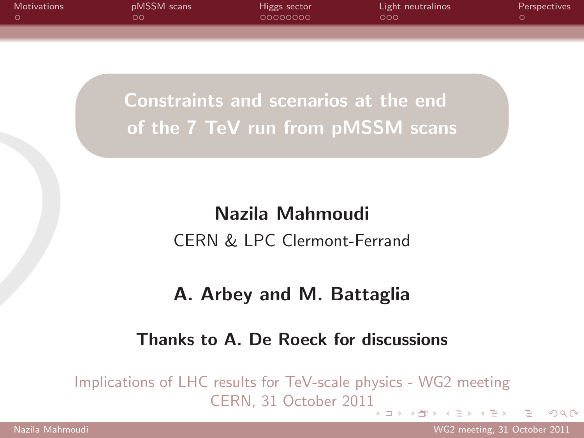| <b>Motivations</b> | pMSSM scans | Higgs sector | Light neutralinos | <b>Perspectives</b> |
|--------------------|-------------|--------------|-------------------|---------------------|
|                    | ററ          | 00000000     | റററ               |                     |
|                    |             |              |                   |                     |

Constraints and scenarios at the end of the 7 TeV run from pMSSM scans

# Nazila Mahmoudi CERN & LPC Clermont-Ferrand

### <span id="page-0-0"></span>A. Arbey and M. Battaglia

#### Thanks to A. De Roeck for discussions

Implications of LHC results for TeV-scale physics - WG2 meeting CERN, 31 October 201[1](#page-0-0) メ 国 メート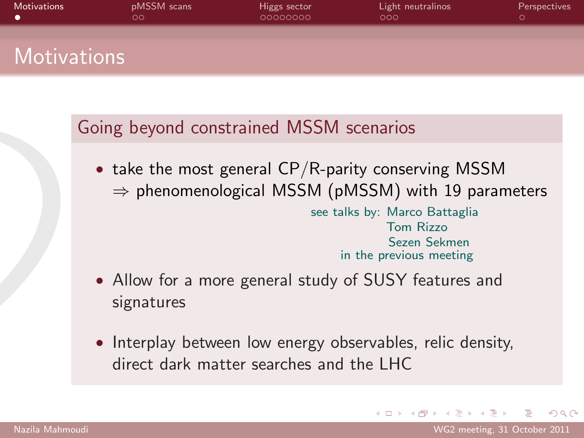| <b>Motivations</b> | pMSSM scans<br>$\circ$ | Higgs sector<br>00000000 | Light neutralinos<br>000 | Perspectives |
|--------------------|------------------------|--------------------------|--------------------------|--------------|
| <b>Motivations</b> |                        |                          |                          |              |

### Going beyond constrained MSSM scenarios

• take the most general  $CP/R$ -parity conserving MSSM  $\Rightarrow$  phenomenological MSSM (pMSSM) with 19 parameters see talks by: Marco Battaglia Tom Rizzo Sezen Sekmen

in the previous meeting

- Allow for a more general study of SUSY features and signatures
- Interplay between low energy observables, relic density, direct dark matter searches and the LHC

<span id="page-1-0"></span> $\Omega$ 

∢ 何 ▶ -∢ ヨ ▶ -∢ ヨ ▶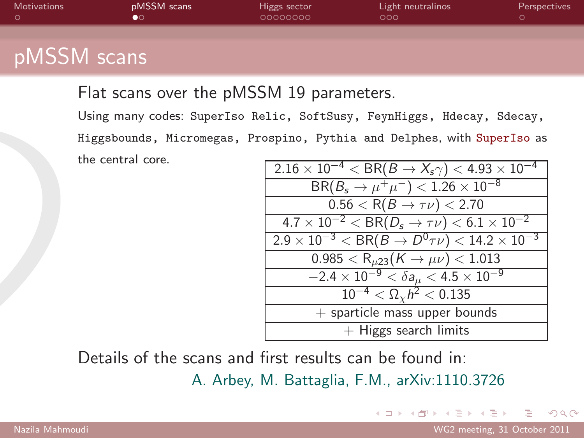| <b>Motivations</b> | pMSSM scans | Higgs sector<br>00000000 | Light neutralinos<br>000 | Perspectives |
|--------------------|-------------|--------------------------|--------------------------|--------------|
| <b>pMSSM</b> scans |             |                          |                          |              |

Flat scans over the pMSSM 19 parameters.

Using many codes: SuperIso Relic, SoftSusy, FeynHiggs, Hdecay, Sdecay, Higgsbounds, Micromegas, Prospino, Pythia and Delphes, with SuperIso as the central core.

| $2.16 \times 10^{-4} < BR(B \to X_s \gamma) < 4.93 \times 10^{-4}$       |
|--------------------------------------------------------------------------|
| $BR(B_s \rightarrow \mu^+ \mu^-) < 1.26 \times 10^{-8}$                  |
| $0.56 < R(B \to \tau \nu) < 2.70$                                        |
| $4.7 \times 10^{-2} < BR(D_s \rightarrow \tau \nu) < 6.1 \times 10^{-2}$ |
| $2.9 \times 10^{-3} < BR(B \to D^{0} \tau \nu) < 14.2 \times 10^{-3}$    |
| $0.985 < R_{\mu23}(K \to \mu\nu) < 1.013$                                |
| $-2.4\times10^{-9} < \delta a_\mu < 4.5\times10^{-9}$                    |
| $10^{-4} < \Omega_{\gamma} h^2 < 0.135$                                  |
| $+$ sparticle mass upper bounds                                          |
| $+$ Higgs search limits                                                  |

Details of the scans and first results can be found in:

A. Arbey, M. Battaglia, F.M., arXiv:1110.3726

<span id="page-2-0"></span> $QQ$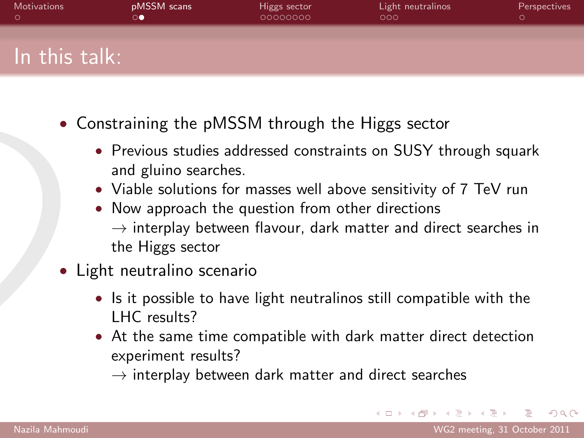| Motivations   | pMSSM scans | Higgs sector<br>00000000 | Light neutralinos<br>000 | Perspectives |
|---------------|-------------|--------------------------|--------------------------|--------------|
|               |             |                          |                          |              |
| In this talk: |             |                          |                          |              |

- Constraining the pMSSM through the Higgs sector
	- Previous studies addressed constraints on SUSY through squark and gluino searches.
	- Viable solutions for masses well above sensitivity of 7 TeV run
	- Now approach the question from other directions  $\rightarrow$  interplay between flavour, dark matter and direct searches in the Higgs sector
- Light neutralino scenario
	- Is it possible to have light neutralinos still compatible with the LHC results?
	- At the same time compatible with dark matter direct detection experiment results?
		- $\rightarrow$  interplay between dark matter and direct searches

 $\Omega$ 

イ何 トラミン イモン ニヨ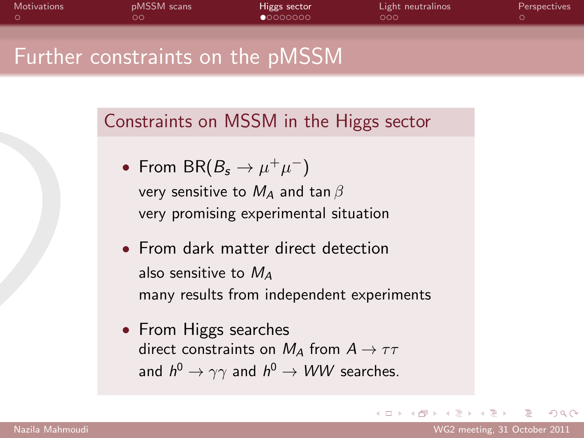| Motivations | pMSSM scans<br>ററ                                 | Higgs sector<br>00000000 | Light neutralinos<br>000 | Perspectives |
|-------------|---------------------------------------------------|--------------------------|--------------------------|--------------|
|             | $\,$ Further constraints on the pMSSM $^{\prime}$ |                          |                          |              |
|             |                                                   |                          |                          |              |

Constraints on MSSM in the Higgs sector

- From BR( $B_s \to \mu^+ \mu^-$ ) very sensitive to  $M_A$  and tan  $\beta$ very promising experimental situation
- From dark matter direct detection also sensitive to  $M_A$ many results from independent experiments
- <span id="page-4-0"></span>• From Higgs searches direct constraints on  $M_A$  from  $A \rightarrow \tau \tau$ and  $h^0 \rightarrow \gamma \gamma$  and  $h^0 \rightarrow WW$  searches.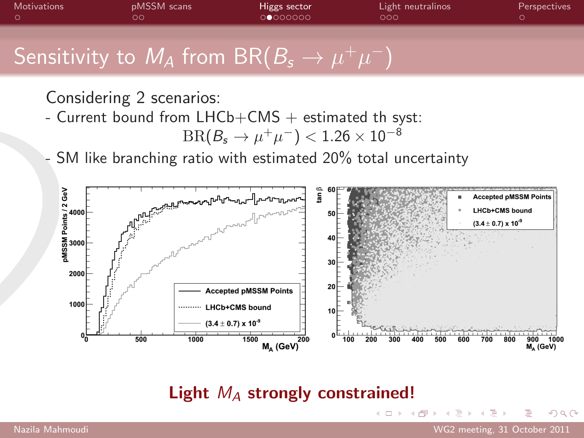

Considering 2 scenarios:

- Current bound from  $LHCb+CMS +$  estimated th syst:

$$
\mathrm{BR}(B_s\to\mu^+\mu^-) < 1.26\times 10^{-8}
$$

SM like branching ratio with estimated 20% total uncertainty



Light  $M_A$  strongly constrained!

目

 $\Omega$ 

 $\rightarrow$   $\rightarrow$   $\equiv$   $\rightarrow$ 

4 母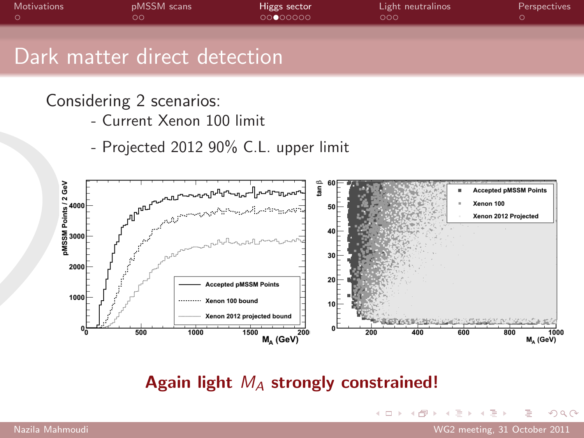| <b>Motivations</b> | pMSSM scans<br>ററ            | Higgs sector<br>00000000 | Light neutralinos<br>000 | Perspectives |
|--------------------|------------------------------|--------------------------|--------------------------|--------------|
|                    | Dark matter direct detection |                          |                          |              |

Considering 2 scenarios:

- Current Xenon 100 limit
- Projected 2012 90% C.L. upper limit



Again light  $M_A$  strongly constrained!

 $\leftarrow$   $\Box$   $\rightarrow$ 

目

 $\Omega$ 

→ (何) > → ヨ) → → ヨ)>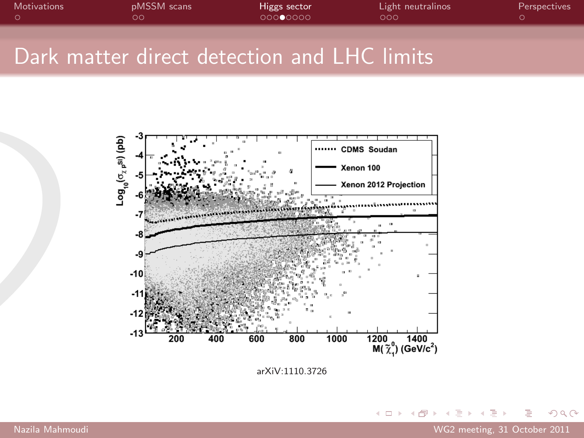| Motivations | pMSSM scans<br>ററ                           | Higgs sector<br>00000000 | Light neutralinos<br>LOOO! | Perspectives |
|-------------|---------------------------------------------|--------------------------|----------------------------|--------------|
|             |                                             |                          |                            |              |
|             | Dark matter direct detection and LHC limits |                          |                            |              |



arXiV:1110.3726

K ロ ▶ K @ ▶ K 할 ▶ K 할 ▶ ... 할 → 9 Q Q\*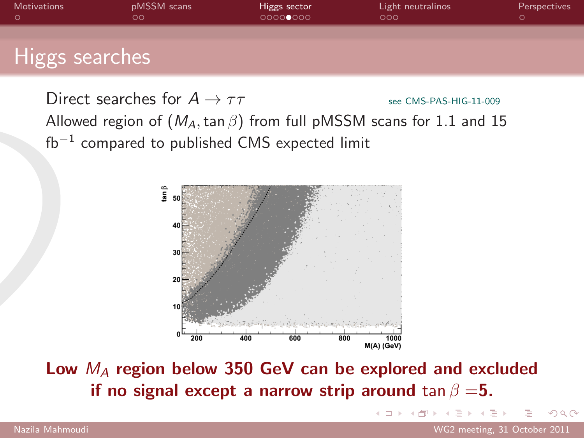

Direct searches for  $A \rightarrow \tau \tau$  see CMS-PAS-HIG-11-009 Allowed region of  $(M_A, \tan \beta)$  from full pMSSM scans for 1.1 and 15  $fb^{-1}$  compared to published CMS expected limit



Low  $M_A$  region below 350 GeV can be explored and excluded if no signal except a narrow strip around tan  $\beta = 5$ .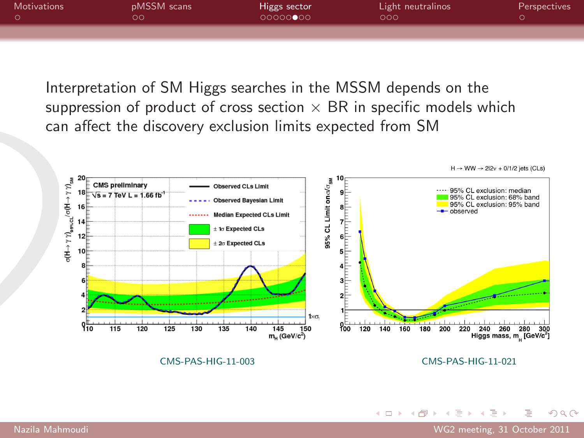| Motivations | pMSSM scans | Higgs sector | Light neutralinos | <b>Perspectives</b> |
|-------------|-------------|--------------|-------------------|---------------------|
|             | סכ          | 000000000    | 000               |                     |
|             |             |              |                   |                     |

Interpretation of SM Higgs searches in the MSSM depends on the suppression of product of cross section  $\times$  BR in specific models which can affect the discovery exclusion limits expected from SM



イロト イ押ト イヨト イヨト

目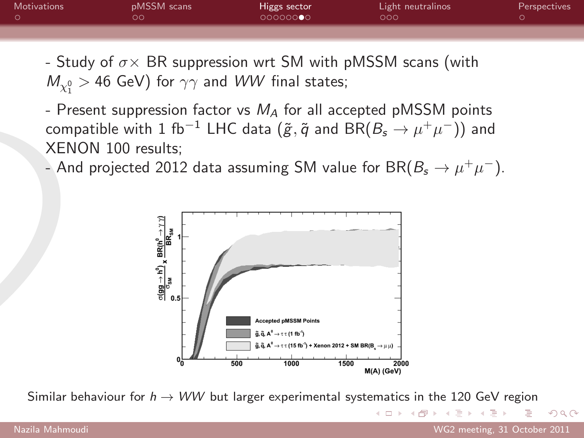| <b>Motivations</b> | pMSSM scans | Higgs sector | Light neutralinos | <b>Perspectives</b> |
|--------------------|-------------|--------------|-------------------|---------------------|
|                    | סכ          | 00000000     | റററ               |                     |
|                    |             |              |                   |                     |

- Study of  $\sigma \times \text{BR}$  suppression wrt SM with pMSSM scans (with  $M_{\chi_1^0} >$  46 GeV) for  $\gamma \gamma$  and  $WW$  final states;

- Present suppression factor vs  $M_A$  for all accepted pMSSM points compatible with 1 fb $^{-1}$  LHC data  $(\tilde{g}, \tilde{q}$  and  $\text{BR}(B_s \to \mu^+ \mu^-))$  and XENON 100 results;

- And projected 2012 data assuming SM value for BR $(B_s \to \mu^+ \mu^-)$ .



Similar behaviour for  $h \rightarrow WW$  but larger experimental systematics in the 120 GeV region

KED KAP KED KED E VOQO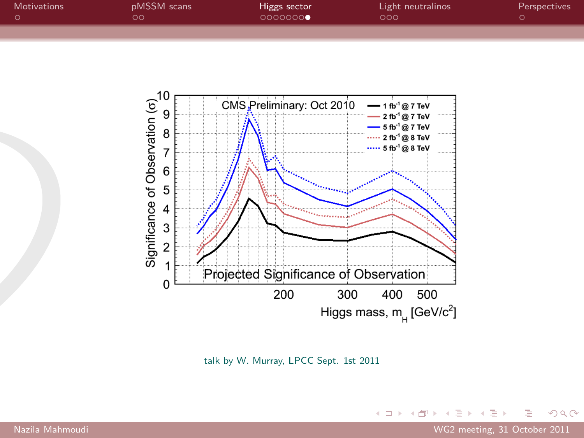| <b>Motivations</b> | pMSSM scans | Higgs sector<br>0000000 | Light neutralinos<br>000 | <b>Perspectives</b> |
|--------------------|-------------|-------------------------|--------------------------|---------------------|
|                    |             |                         |                          |                     |



talk by W. Murray, LPCC Sept. 1st 2011

目

 $299$ 

イロト イ部 トイモト イモト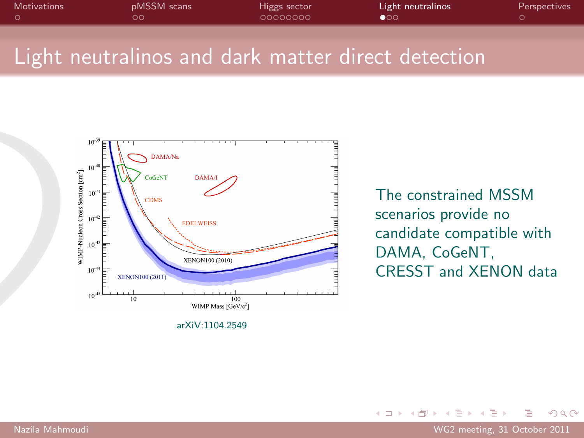| Motivations | pMSSM scans | Higgs sector | Light neutralinos | Perspectives |
|-------------|-------------|--------------|-------------------|--------------|
|             | ∩ר          | 00000000     | $\bullet$ 00      |              |
|             |             |              |                   |              |
|             |             |              |                   |              |

## Light neutralinos and dark matter direct detection



arXiV:1104.2549

<span id="page-12-0"></span>The constrained MSSM scenarios provide no candidate compatible with DAMA, CoGeNT, CRESST and XENON data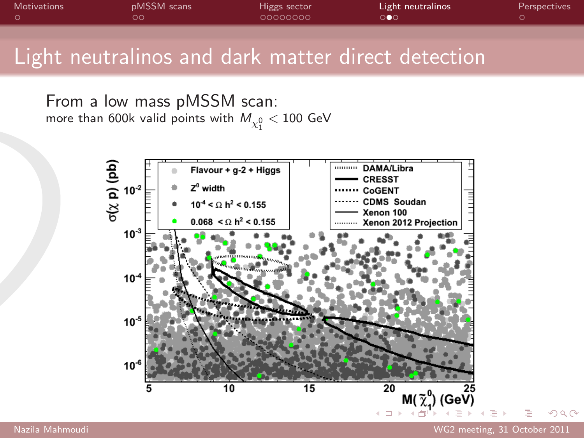| Motivations | <b>pMSSM</b> scans | Higgs sector | Light neutralinos | <b>Perspectives</b> |
|-------------|--------------------|--------------|-------------------|---------------------|
|             | ററ                 | 00000000     | ∩∩                |                     |
|             |                    |              |                   |                     |

## Light neutralinos and dark matter direct detection

From a low mass pMSSM scan: more than 600k valid points with  $M_{\chi_1^0} < 100$  GeV



 $QQ$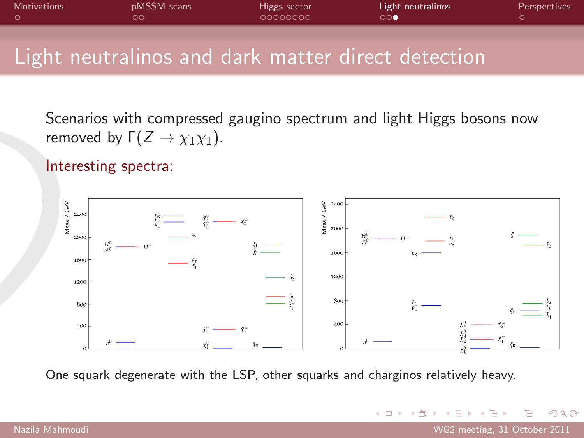| <b>Motivations</b> | pMSSM scans | Higgs sector | Light neutralinos     | Perspectives |
|--------------------|-------------|--------------|-----------------------|--------------|
|                    | OO.         | 00000000     | $\circ \circ \bullet$ |              |
|                    |             |              |                       |              |

## Light neutralinos and dark matter direct detection

Scenarios with compressed gaugino spectrum and light Higgs bosons now removed by  $\Gamma(Z \to \chi_1 \chi_1)$ .

Interesting spectra:



One squark degenerate with the LSP, other squarks and charginos relatively heavy.

E

 $\Omega$ 

→ 何 ▶ → ヨ ▶ → ヨ ▶